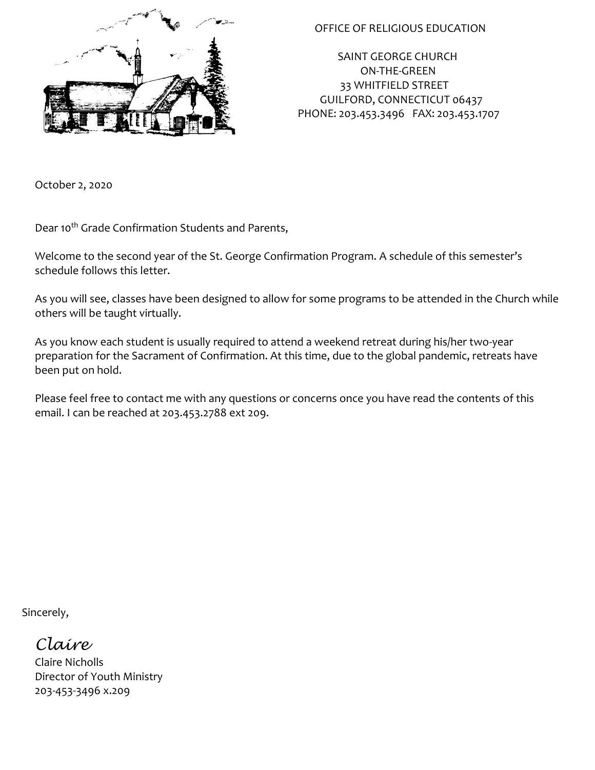

## OFFICE OF RELIGIOUS EDUCATION

 SAINT GEORGE CHURCH ON-THE-GREEN 33 WHITFIELD STREET GUILFORD, CONNECTICUT 06437 PHONE: 203.453.3496 FAX: 203.453.1707

October 2, 2020

Dear 10<sup>th</sup> Grade Confirmation Students and Parents,

Welcome to the second year of the St. George Confirmation Program. A schedule of this semester's schedule follows this letter.

As you will see, classes have been designed to allow for some programs to be attended in the Church while others will be taught virtually.

As you know each student is usually required to attend a weekend retreat during his/her two-year preparation for the Sacrament of Confirmation. At this time, due to the global pandemic, retreats have been put on hold.

Please feel free to contact me with any questions or concerns once you have read the contents of this email. I can be reached at 203.453.2788 ext 209.

Sincerely,

*Claire*

Claire Nicholls Director of Youth Ministry 203-453-3496 x.209